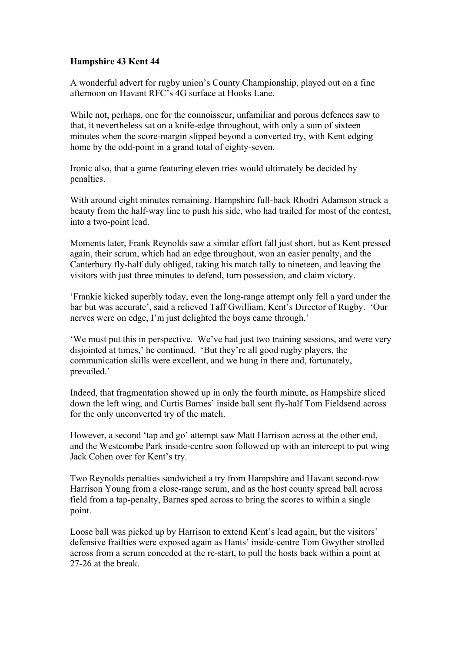## **Hampshire 43 Kent 44**

A wonderful advert for rugby union's County Championship, played out on a fine afternoon on Havant RFC's 4G surface at Hooks Lane.

While not, perhaps, one for the connoisseur, unfamiliar and porous defences saw to that, it nevertheless sat on a knife-edge throughout, with only a sum of sixteen minutes when the score-margin slipped beyond a converted try, with Kent edging home by the odd-point in a grand total of eighty-seven.

Ironic also, that a game featuring eleven tries would ultimately be decided by penalties.

With around eight minutes remaining, Hampshire full-back Rhodri Adamson struck a beauty from the half-way line to push his side, who had trailed for most of the contest, into a two-point lead.

Moments later, Frank Reynolds saw a similar effort fall just short, but as Kent pressed again, their scrum, which had an edge throughout, won an easier penalty, and the Canterbury fly-half duly obliged, taking his match tally to nineteen, and leaving the visitors with just three minutes to defend, turn possession, and claim victory.

'Frankie kicked superbly today, even the long-range attempt only fell a yard under the bar but was accurate', said a relieved Taff Gwilliam, Kent's Director of Rugby. 'Our nerves were on edge, I'm just delighted the boys came through.'

'We must put this in perspective. We've had just two training sessions, and were very disjointed at times,' he continued. 'But they're all good rugby players, the communication skills were excellent, and we hung in there and, fortunately, prevailed.'

Indeed, that fragmentation showed up in only the fourth minute, as Hampshire sliced down the left wing, and Curtis Barnes' inside ball sent fly-half Tom Fieldsend across for the only unconverted try of the match.

However, a second 'tap and go' attempt saw Matt Harrison across at the other end, and the Westcombe Park inside-centre soon followed up with an intercept to put wing Jack Cohen over for Kent's try.

Two Reynolds penalties sandwiched a try from Hampshire and Havant second-row Harrison Young from a close-range scrum, and as the host county spread ball across field from a tap-penalty, Barnes sped across to bring the scores to within a single point.

Loose ball was picked up by Harrison to extend Kent's lead again, but the visitors' defensive frailties were exposed again as Hants' inside-centre Tom Gwyther strolled across from a scrum conceded at the re-start, to pull the hosts back within a point at 27-26 at the break.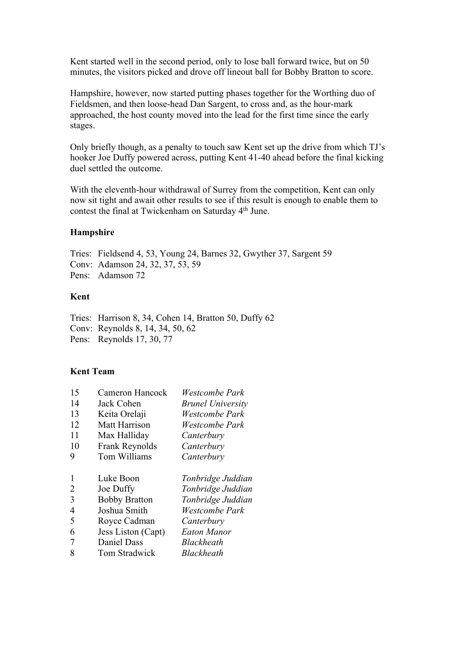Kent started well in the second period, only to lose ball forward twice, but on 50 minutes, the visitors picked and drove off lineout ball for Bobby Bratton to score.

Hampshire, however, now started putting phases together for the Worthing duo of Fieldsmen, and then loose-head Dan Sargent, to cross and, as the hour-mark approached, the host county moved into the lead for the first time since the early stages.

Only briefly though, as a penalty to touch saw Kent set up the drive from which TJ's hooker Joe Duffy powered across, putting Kent 41-40 ahead before the final kicking duel settled the outcome.

With the eleventh-hour withdrawal of Surrey from the competition, Kent can only now sit tight and await other results to see if this result is enough to enable them to contest the final at Twickenham on Saturday 4th June.

## **Hampshire**

Tries: Fieldsend 4, 53, Young 24, Barnes 32, Gwyther 37, Sargent 59 Conv: Adamson 24, 32, 37, 53, 59 Pens: Adamson 72

## **Kent**

Tries: Harrison 8, 34, Cohen 14, Bratton 50, Duffy 62 Conv: Reynolds 8, 14, 34, 50, 62 Pens: Reynolds 17, 30, 77

## **Kent Team**

| 15 | Cameron Hancock      | Westcombe Park           |
|----|----------------------|--------------------------|
| 14 | Jack Cohen           | <b>Brunel University</b> |
| 13 | Keita Orelaji        | Westcombe Park           |
| 12 | Matt Harrison        | Westcombe Park           |
| 11 | Max Halliday         | Canterbury               |
| 10 | Frank Reynolds       | Canterbury               |
| 9  | Tom Williams         | Canterbury               |
|    |                      |                          |
|    |                      |                          |
| 1  | Luke Boon            | Tonbridge Juddian        |
| 2  | Joe Duffy            | Tonbridge Juddian        |
| 3  | <b>Bobby Bratton</b> | Tonbridge Juddian        |
| 4  | Joshua Smith         | Westcombe Park           |
| 5  | Royce Cadman         | Canterbury               |
| 6  | Jess Liston (Capt)   | <b>Eaton Manor</b>       |
| 7  | Daniel Dass          | Blackheath               |
|    |                      |                          |
|    |                      |                          |
|    |                      |                          |
|    |                      |                          |
|    |                      |                          |
|    |                      |                          |